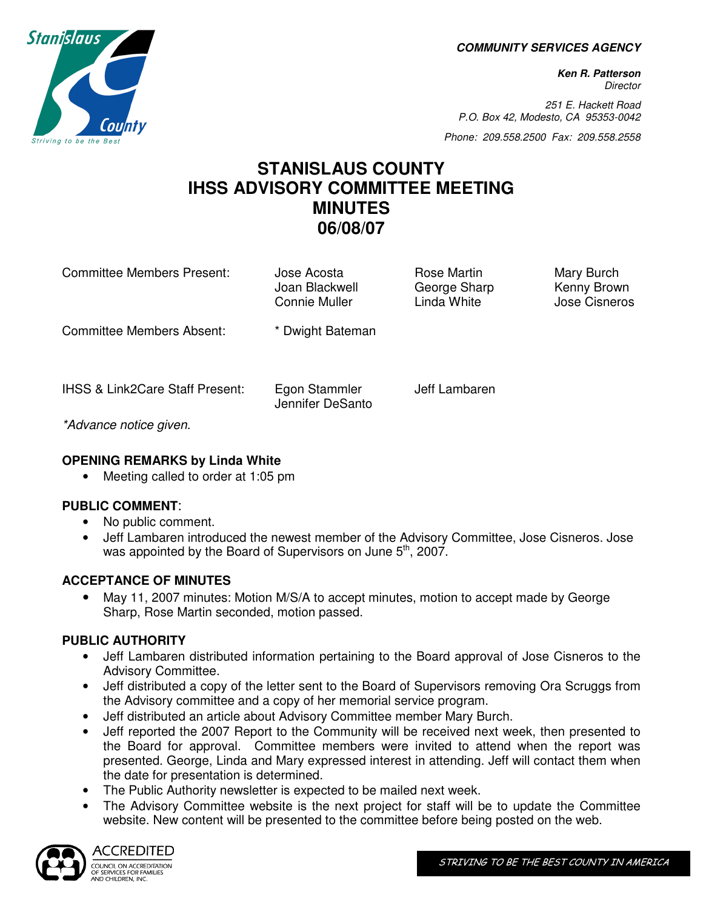**COMMUNITY SERVICES AGENCY** 

**Ken R. Patterson Director** 

251 E. Hackett Road P.O. Box 42, Modesto, CA 95353-0042

Phone: 209.558.2500 Fax: 209.558.2558

# **STANISLAUS COUNTY IHSS ADVISORY COMMITTEE MEETING MINUTES 06/08/07**

Committee Members Present: Jose Acosta **Rose Martin Mary Burch** Rose Martin Mary Burch

Joan Blackwell **George Sharp** Kenny Brown Connie Muller **Linda White Linda White** Jose Cisneros

Committee Members Absent: \* Dwight Bateman

\*Advance notice given.

## **OPENING REMARKS by Linda White**

• Meeting called to order at 1:05 pm

#### **PUBLIC COMMENT**:

- No public comment.
- Jeff Lambaren introduced the newest member of the Advisory Committee, Jose Cisneros. Jose was appointed by the Board of Supervisors on June  $5<sup>th</sup>$ , 2007.

#### **ACCEPTANCE OF MINUTES**

• May 11, 2007 minutes: Motion M/S/A to accept minutes, motion to accept made by George Sharp, Rose Martin seconded, motion passed.

# **PUBLIC AUTHORITY**

- Jeff Lambaren distributed information pertaining to the Board approval of Jose Cisneros to the Advisory Committee.
- Jeff distributed a copy of the letter sent to the Board of Supervisors removing Ora Scruggs from the Advisory committee and a copy of her memorial service program.
- Jeff distributed an article about Advisory Committee member Mary Burch.
- Jeff reported the 2007 Report to the Community will be received next week, then presented to the Board for approval. Committee members were invited to attend when the report was presented. George, Linda and Mary expressed interest in attending. Jeff will contact them when the date for presentation is determined.
- The Public Authority newsletter is expected to be mailed next week.
- The Advisory Committee website is the next project for staff will be to update the Committee website. New content will be presented to the committee before being posted on the web.



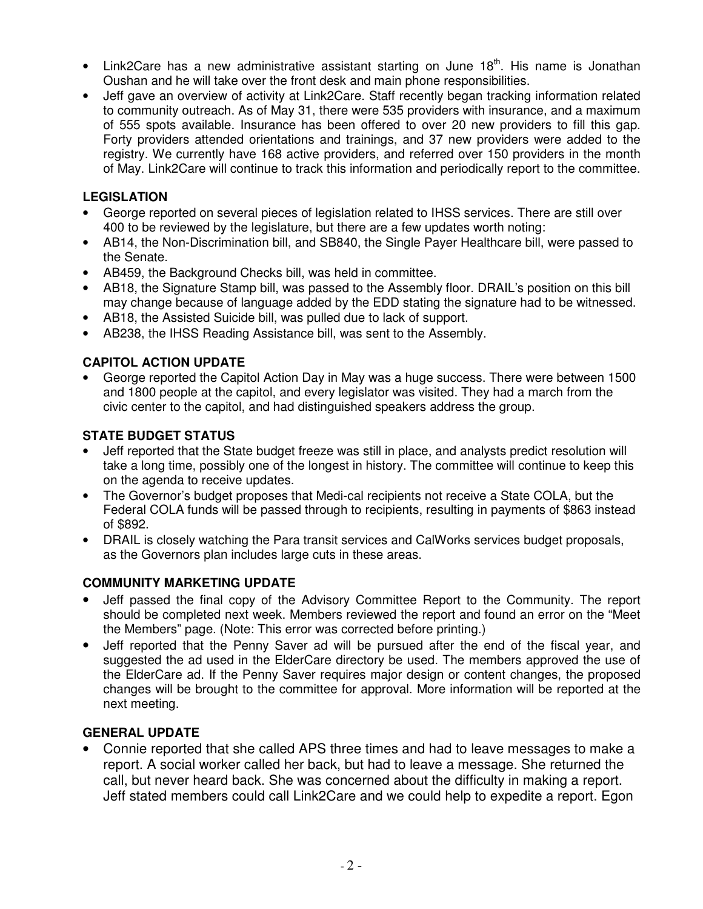- Link2Care has a new administrative assistant starting on June  $18<sup>th</sup>$ . His name is Jonathan Oushan and he will take over the front desk and main phone responsibilities.
- Jeff gave an overview of activity at Link2Care. Staff recently began tracking information related to community outreach. As of May 31, there were 535 providers with insurance, and a maximum of 555 spots available. Insurance has been offered to over 20 new providers to fill this gap. Forty providers attended orientations and trainings, and 37 new providers were added to the registry. We currently have 168 active providers, and referred over 150 providers in the month of May. Link2Care will continue to track this information and periodically report to the committee.

#### **LEGISLATION**

- George reported on several pieces of legislation related to IHSS services. There are still over 400 to be reviewed by the legislature, but there are a few updates worth noting:
- AB14, the Non-Discrimination bill, and SB840, the Single Payer Healthcare bill, were passed to the Senate.
- AB459, the Background Checks bill, was held in committee.
- AB18, the Signature Stamp bill, was passed to the Assembly floor. DRAIL's position on this bill may change because of language added by the EDD stating the signature had to be witnessed.
- AB18, the Assisted Suicide bill, was pulled due to lack of support.
- AB238, the IHSS Reading Assistance bill, was sent to the Assembly.

# **CAPITOL ACTION UPDATE**

• George reported the Capitol Action Day in May was a huge success. There were between 1500 and 1800 people at the capitol, and every legislator was visited. They had a march from the civic center to the capitol, and had distinguished speakers address the group.

### **STATE BUDGET STATUS**

- Jeff reported that the State budget freeze was still in place, and analysts predict resolution will take a long time, possibly one of the longest in history. The committee will continue to keep this on the agenda to receive updates.
- The Governor's budget proposes that Medi-cal recipients not receive a State COLA, but the Federal COLA funds will be passed through to recipients, resulting in payments of \$863 instead of \$892.
- DRAIL is closely watching the Para transit services and CalWorks services budget proposals, as the Governors plan includes large cuts in these areas.

#### **COMMUNITY MARKETING UPDATE**

- Jeff passed the final copy of the Advisory Committee Report to the Community. The report should be completed next week. Members reviewed the report and found an error on the "Meet the Members" page. (Note: This error was corrected before printing.)
- Jeff reported that the Penny Saver ad will be pursued after the end of the fiscal year, and suggested the ad used in the ElderCare directory be used. The members approved the use of the ElderCare ad. If the Penny Saver requires major design or content changes, the proposed changes will be brought to the committee for approval. More information will be reported at the next meeting.

# **GENERAL UPDATE**

• Connie reported that she called APS three times and had to leave messages to make a report. A social worker called her back, but had to leave a message. She returned the call, but never heard back. She was concerned about the difficulty in making a report. Jeff stated members could call Link2Care and we could help to expedite a report. Egon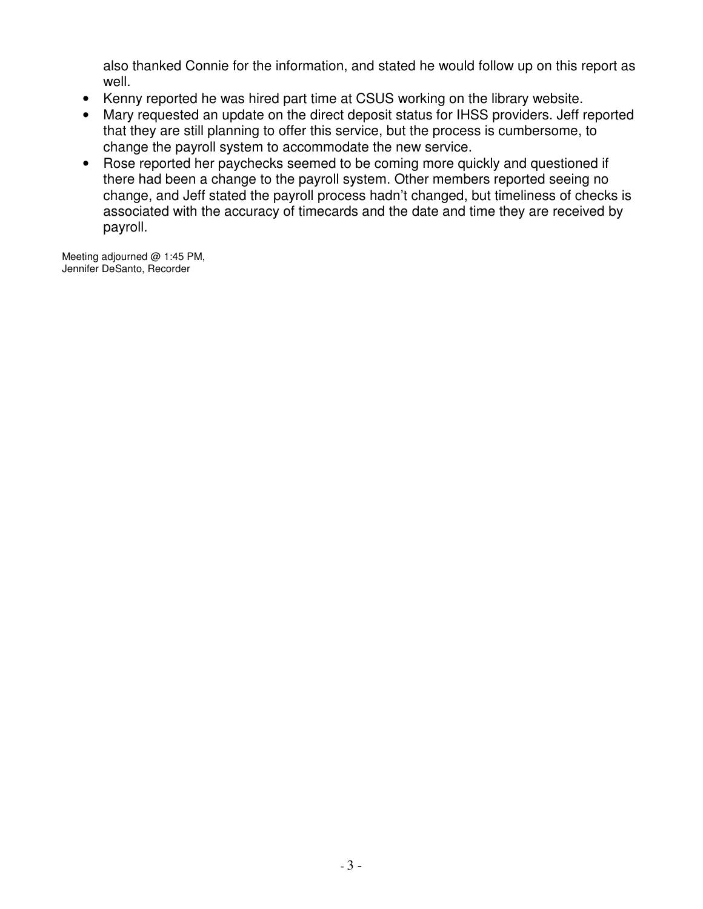also thanked Connie for the information, and stated he would follow up on this report as well.

- Kenny reported he was hired part time at CSUS working on the library website.
- Mary requested an update on the direct deposit status for IHSS providers. Jeff reported that they are still planning to offer this service, but the process is cumbersome, to change the payroll system to accommodate the new service.
- Rose reported her paychecks seemed to be coming more quickly and questioned if there had been a change to the payroll system. Other members reported seeing no change, and Jeff stated the payroll process hadn't changed, but timeliness of checks is associated with the accuracy of timecards and the date and time they are received by payroll.

Meeting adjourned @ 1:45 PM, Jennifer DeSanto, Recorder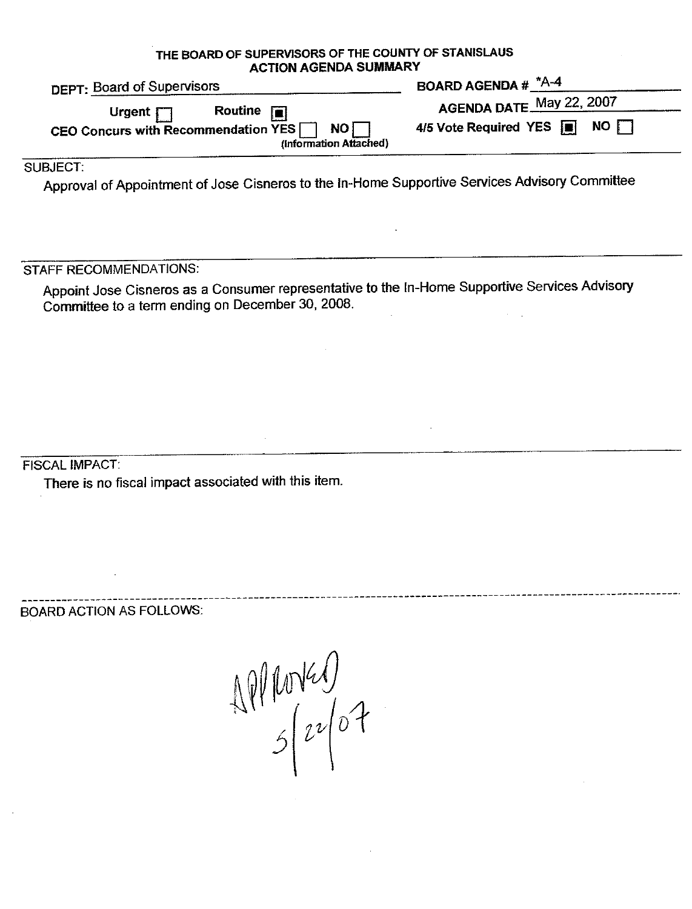THE BOARD OF SUPERVISORS OF THE COUNTY OF STANISLAUS **ACTION AGENDA SUMMARY** 

| DEPT: Board of Supervisors                                                                                              | BOARD AGENDA # $A^*A-4$                                                            |
|-------------------------------------------------------------------------------------------------------------------------|------------------------------------------------------------------------------------|
| Routine $\boxed{\blacksquare}$<br>Urgent $\Box$<br>NOT<br>CEO Concurs with Recommendation YES<br>(Information Attached) | AGENDA DATE May 22, 2007<br>4/5 Vote Required YES $\blacksquare$ NO $\blacksquare$ |
|                                                                                                                         |                                                                                    |

SUBJECT:

Approval of Appointment of Jose Cisneros to the In-Home Supportive Services Advisory Committee

STAFF RECOMMENDATIONS:

Appoint Jose Cisneros as a Consumer representative to the In-Home Supportive Services Advisory Committee to a term ending on December 30, 2008.

**FISCAL IMPACT:** 

There is no fiscal impact associated with this item.

**BOARD ACTION AS FOLLOWS:** 

 $AP(1004)$